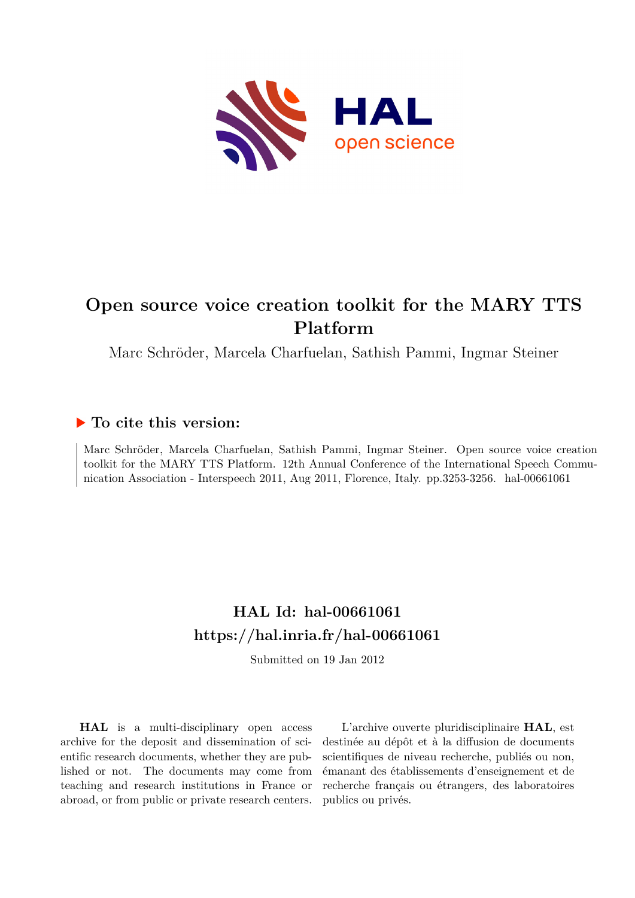

# **Open source voice creation toolkit for the MARY TTS Platform**

Marc Schröder, Marcela Charfuelan, Sathish Pammi, Ingmar Steiner

# **To cite this version:**

Marc Schröder, Marcela Charfuelan, Sathish Pammi, Ingmar Steiner. Open source voice creation toolkit for the MARY TTS Platform. 12th Annual Conference of the International Speech Communication Association - Interspeech 2011, Aug 2011, Florence, Italy. pp.3253-3256. hal-00661061

# **HAL Id: hal-00661061 <https://hal.inria.fr/hal-00661061>**

Submitted on 19 Jan 2012

**HAL** is a multi-disciplinary open access archive for the deposit and dissemination of scientific research documents, whether they are published or not. The documents may come from teaching and research institutions in France or abroad, or from public or private research centers.

L'archive ouverte pluridisciplinaire **HAL**, est destinée au dépôt et à la diffusion de documents scientifiques de niveau recherche, publiés ou non, émanant des établissements d'enseignement et de recherche français ou étrangers, des laboratoires publics ou privés.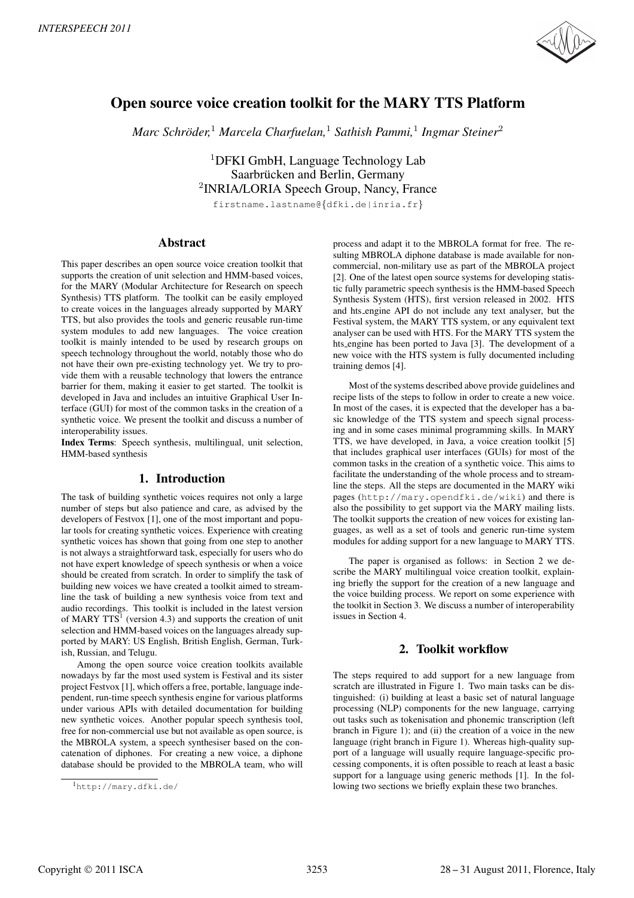

# Open source voice creation toolkit for the MARY TTS Platform

*Marc Schroder, ¨* <sup>1</sup> *Marcela Charfuelan,*<sup>1</sup> *Sathish Pammi,*<sup>1</sup> *Ingmar Steiner*<sup>2</sup>

<sup>1</sup>DFKI GmbH, Language Technology Lab Saarbrücken and Berlin, Germany <sup>2</sup>INRIA/LORIA Speech Group, Nancy, France firstname.lastname@*{*dfki.de|inria.fr*}*

Abstract

This paper describes an open source voice creation toolkit that supports the creation of unit selection and HMM-based voices, for the MARY (Modular Architecture for Research on speech Synthesis) TTS platform. The toolkit can be easily employed to create voices in the languages already supported by MARY TTS, but also provides the tools and generic reusable run-time system modules to add new languages. The voice creation toolkit is mainly intended to be used by research groups on speech technology throughout the world, notably those who do not have their own pre-existing technology yet. We try to provide them with a reusable technology that lowers the entrance barrier for them, making it easier to get started. The toolkit is developed in Java and includes an intuitive Graphical User Interface (GUI) for most of the common tasks in the creation of a synthetic voice. We present the toolkit and discuss a number of interoperability issues.

Index Terms: Speech synthesis, multilingual, unit selection, HMM-based synthesis

## 1. Introduction

The task of building synthetic voices requires not only a large number of steps but also patience and care, as advised by the developers of Festvox [1], one of the most important and popular tools for creating synthetic voices. Experience with creating synthetic voices has shown that going from one step to another is not always a straightforward task, especially for users who do not have expert knowledge of speech synthesis or when a voice should be created from scratch. In order to simplify the task of building new voices we have created a toolkit aimed to streamline the task of building a new synthesis voice from text and audio recordings. This toolkit is included in the latest version of MARY  $TTS<sup>1</sup>$  (version 4.3) and supports the creation of unit selection and HMM-based voices on the languages already supported by MARY: US English, British English, German, Turkish, Russian, and Telugu.

Among the open source voice creation toolkits available nowadays by far the most used system is Festival and its sister project Festvox [1], which offers a free, portable, language independent, run-time speech synthesis engine for various platforms under various APIs with detailed documentation for building new synthetic voices. Another popular speech synthesis tool, free for non-commercial use but not available as open source, is the MBROLA system, a speech synthesiser based on the concatenation of diphones. For creating a new voice, a diphone database should be provided to the MBROLA team, who will process and adapt it to the MBROLA format for free. The resulting MBROLA diphone database is made available for noncommercial, non-military use as part of the MBROLA project [2]. One of the latest open source systems for developing statistic fully parametric speech synthesis is the HMM-based Speech Synthesis System (HTS), first version released in 2002. HTS and hts engine API do not include any text analyser, but the Festival system, the MARY TTS system, or any equivalent text analyser can be used with HTS. For the MARY TTS system the hts engine has been ported to Java [3]. The development of a new voice with the HTS system is fully documented including training demos [4].

Most of the systems described above provide guidelines and recipe lists of the steps to follow in order to create a new voice. In most of the cases, it is expected that the developer has a basic knowledge of the TTS system and speech signal processing and in some cases minimal programming skills. In MARY TTS, we have developed, in Java, a voice creation toolkit [5] that includes graphical user interfaces (GUIs) for most of the common tasks in the creation of a synthetic voice. This aims to facilitate the understanding of the whole process and to streamline the steps. All the steps are documented in the MARY wiki pages (http://mary.opendfki.de/wiki) and there is also the possibility to get support via the MARY mailing lists. The toolkit supports the creation of new voices for existing languages, as well as a set of tools and generic run-time system modules for adding support for a new language to MARY TTS.

The paper is organised as follows: in Section 2 we describe the MARY multilingual voice creation toolkit, explaining briefly the support for the creation of a new language and the voice building process. We report on some experience with the toolkit in Section 3. We discuss a number of interoperability issues in Section 4.

# 2. Toolkit workflow

The steps required to add support for a new language from scratch are illustrated in Figure 1. Two main tasks can be distinguished: (i) building at least a basic set of natural language processing (NLP) components for the new language, carrying out tasks such as tokenisation and phonemic transcription (left branch in Figure 1); and (ii) the creation of a voice in the new language (right branch in Figure 1). Whereas high-quality support of a language will usually require language-specific processing components, it is often possible to reach at least a basic support for a language using generic methods [1]. In the following two sections we briefly explain these two branches.

<sup>1</sup>http://mary.dfki.de/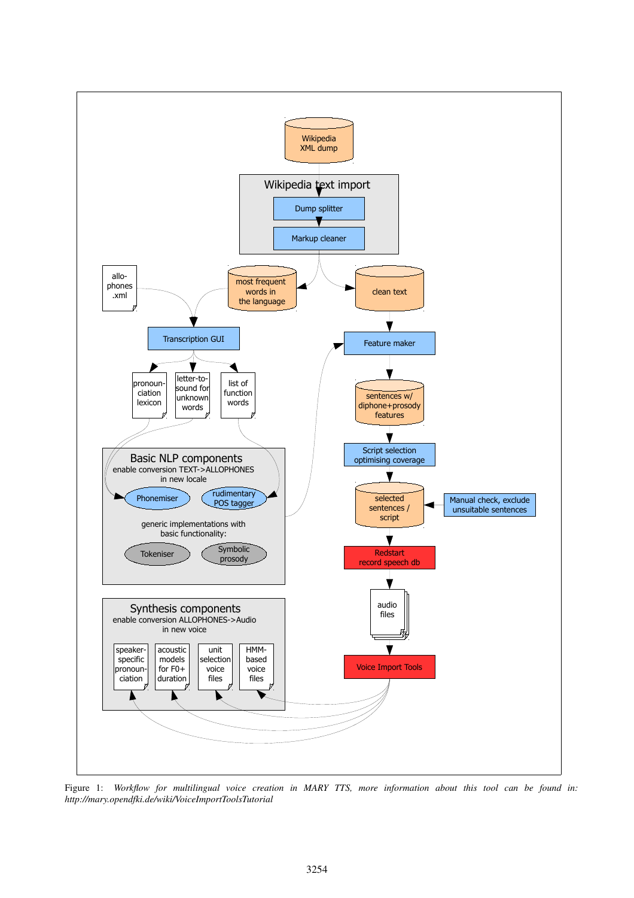

Figure 1: Workflow for multilingual voice creation in MARY TTS, more information about this tool can be found in: http://mary.opendfki.de/wiki/VoiceImportToolsTutorial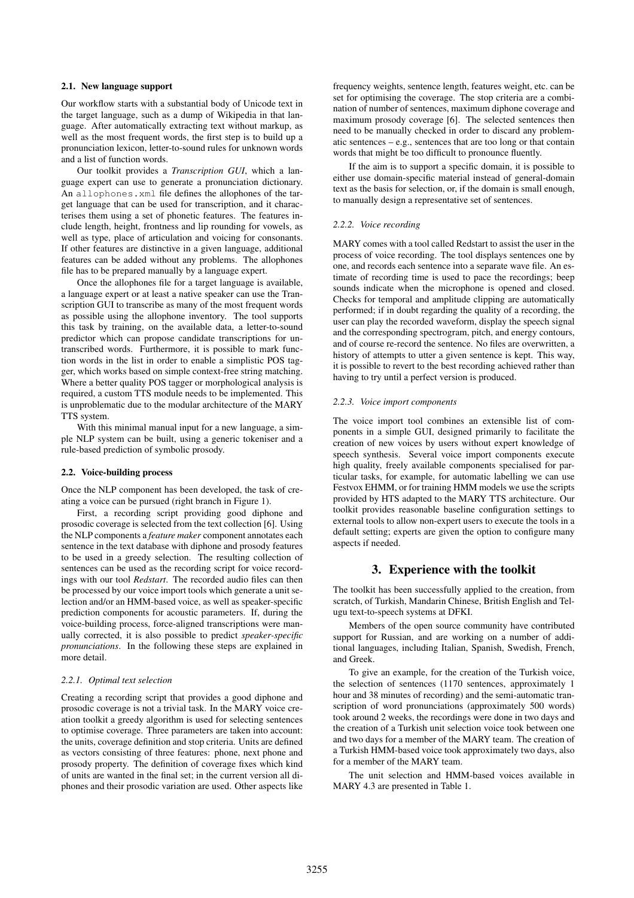#### 2.1. New language support

Our workflow starts with a substantial body of Unicode text in the target language, such as a dump of Wikipedia in that language. After automatically extracting text without markup, as well as the most frequent words, the first step is to build up a pronunciation lexicon, letter-to-sound rules for unknown words and a list of function words.

Our toolkit provides a *Transcription GUI*, which a language expert can use to generate a pronunciation dictionary. An allophones.xml file defines the allophones of the target language that can be used for transcription, and it characterises them using a set of phonetic features. The features include length, height, frontness and lip rounding for vowels, as well as type, place of articulation and voicing for consonants. If other features are distinctive in a given language, additional features can be added without any problems. The allophones file has to be prepared manually by a language expert.

Once the allophones file for a target language is available, a language expert or at least a native speaker can use the Transcription GUI to transcribe as many of the most frequent words as possible using the allophone inventory. The tool supports this task by training, on the available data, a letter-to-sound predictor which can propose candidate transcriptions for untranscribed words. Furthermore, it is possible to mark function words in the list in order to enable a simplistic POS tagger, which works based on simple context-free string matching. Where a better quality POS tagger or morphological analysis is required, a custom TTS module needs to be implemented. This is unproblematic due to the modular architecture of the MARY TTS system.

With this minimal manual input for a new language, a simple NLP system can be built, using a generic tokeniser and a rule-based prediction of symbolic prosody.

#### 2.2. Voice-building process

Once the NLP component has been developed, the task of creating a voice can be pursued (right branch in Figure 1).

First, a recording script providing good diphone and prosodic coverage is selected from the text collection [6]. Using the NLP components a *feature maker* component annotates each sentence in the text database with diphone and prosody features to be used in a greedy selection. The resulting collection of sentences can be used as the recording script for voice recordings with our tool *Redstart*. The recorded audio files can then be processed by our voice import tools which generate a unit selection and/or an HMM-based voice, as well as speaker-specific prediction components for acoustic parameters. If, during the voice-building process, force-aligned transcriptions were manually corrected, it is also possible to predict *speaker-specific pronunciations*. In the following these steps are explained in more detail.

#### *2.2.1. Optimal text selection*

Creating a recording script that provides a good diphone and prosodic coverage is not a trivial task. In the MARY voice creation toolkit a greedy algorithm is used for selecting sentences to optimise coverage. Three parameters are taken into account: the units, coverage definition and stop criteria. Units are defined as vectors consisting of three features: phone, next phone and prosody property. The definition of coverage fixes which kind of units are wanted in the final set; in the current version all diphones and their prosodic variation are used. Other aspects like

frequency weights, sentence length, features weight, etc. can be set for optimising the coverage. The stop criteria are a combination of number of sentences, maximum diphone coverage and maximum prosody coverage [6]. The selected sentences then need to be manually checked in order to discard any problematic sentences – e.g., sentences that are too long or that contain words that might be too difficult to pronounce fluently.

If the aim is to support a specific domain, it is possible to either use domain-specific material instead of general-domain text as the basis for selection, or, if the domain is small enough, to manually design a representative set of sentences.

#### *2.2.2. Voice recording*

MARY comes with a tool called Redstart to assist the user in the process of voice recording. The tool displays sentences one by one, and records each sentence into a separate wave file. An estimate of recording time is used to pace the recordings; beep sounds indicate when the microphone is opened and closed. Checks for temporal and amplitude clipping are automatically performed; if in doubt regarding the quality of a recording, the user can play the recorded waveform, display the speech signal and the corresponding spectrogram, pitch, and energy contours, and of course re-record the sentence. No files are overwritten, a history of attempts to utter a given sentence is kept. This way, it is possible to revert to the best recording achieved rather than having to try until a perfect version is produced.

#### *2.2.3. Voice import components*

The voice import tool combines an extensible list of components in a simple GUI, designed primarily to facilitate the creation of new voices by users without expert knowledge of speech synthesis. Several voice import components execute high quality, freely available components specialised for particular tasks, for example, for automatic labelling we can use Festvox EHMM, or for training HMM models we use the scripts provided by HTS adapted to the MARY TTS architecture. Our toolkit provides reasonable baseline configuration settings to external tools to allow non-expert users to execute the tools in a default setting; experts are given the option to configure many aspects if needed.

#### 3. Experience with the toolkit

The toolkit has been successfully applied to the creation, from scratch, of Turkish, Mandarin Chinese, British English and Telugu text-to-speech systems at DFKI.

Members of the open source community have contributed support for Russian, and are working on a number of additional languages, including Italian, Spanish, Swedish, French, and Greek.

To give an example, for the creation of the Turkish voice, the selection of sentences (1170 sentences, approximately 1 hour and 38 minutes of recording) and the semi-automatic transcription of word pronunciations (approximately 500 words) took around 2 weeks, the recordings were done in two days and the creation of a Turkish unit selection voice took between one and two days for a member of the MARY team. The creation of a Turkish HMM-based voice took approximately two days, also for a member of the MARY team.

The unit selection and HMM-based voices available in MARY 4.3 are presented in Table 1.